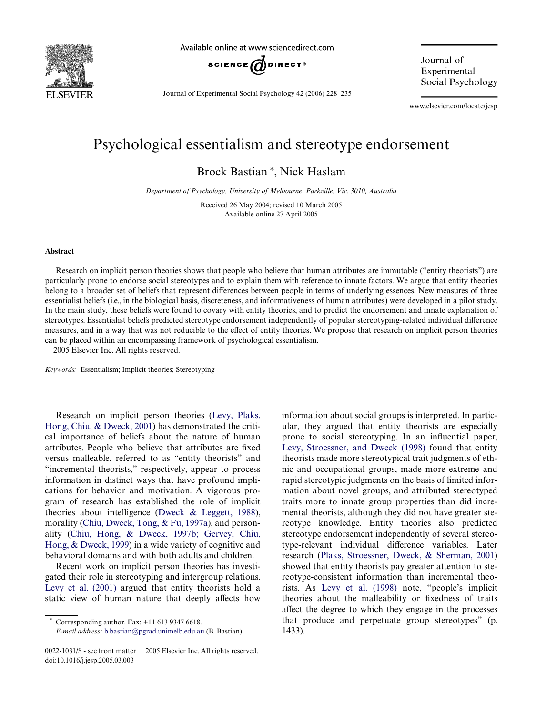

Available online at www.sciencedirect.com



Journal of Experimental Social Psychology 42 (2006) 228–235

Journal of Experimental Social Psychology

www.elsevier.com/locate/jesp

# Psychological essentialism and stereotype endorsement

Brock Bastian<sup>\*</sup>, Nick Haslam

*Department of Psychology, University of Melbourne, Parkville, Vic. 3010, Australia*

Received 26 May 2004; revised 10 March 2005 Available online 27 April 2005

## **Abstract**

Research on implicit person theories shows that people who believe that human attributes are immutable ("entity theorists") are particularly prone to endorse social stereotypes and to explain them with reference to innate factors. We argue that entity theories belong to a broader set of beliefs that represent differences between people in terms of underlying essences. New measures of three essentialist beliefs (i.e., in the biological basis, discreteness, and informativeness of human attributes) were developed in a pilot study. In the main study, these beliefs were found to covary with entity theories, and to predict the endorsement and innate explanation of stereotypes. Essentialist beliefs predicted stereotype endorsement independently of popular stereotyping-related individual difference measures, and in a way that was not reducible to the effect of entity theories. We propose that research on implicit person theories can be placed within an encompassing framework of psychological essentialism. 2005 Elsevier Inc. All rights reserved.

*Keywords:* Essentialism; Implicit theories; Stereotyping

Research on implicit person theories ([Levy, Plaks,](#page-7-0) [Hong, Chiu, & Dweck, 2001](#page-7-0)) has demonstrated the critical importance of beliefs about the nature of human attributes. People who believe that attributes are fixed versus malleable, referred to as "entity theorists" and "incremental theorists," respectively, appear to process information in distinct ways that have profound implications for behavior and motivation. A vigorous program of research has established the role of implicit theories about intelligence ([Dweck & Leggett, 1988\)](#page-7-1), morality ([Chiu, Dweck, Tong, & Fu, 1997a\)](#page-7-2), and personality [\(Chiu, Hong, & Dweck, 1997b; Gervey, Chiu,](#page-7-3) [Hong, & Dweck, 1999](#page-7-3)) in a wide variety of cognitive and behavioral domains and with both adults and children.

Recent work on implicit person theories has investigated their role in stereotyping and intergroup relations. [Levy et al. \(2001\)](#page-7-0) argued that entity theorists hold a static view of human nature that deeply affects how information about social groups is interpreted. In particular, they argued that entity theorists are especially prone to social stereotyping. In an influential paper, [Levy, Stroessner, and Dweck \(1998\)](#page-7-4) found that entity theorists made more stereotypical trait judgments of ethnic and occupational groups, made more extreme and rapid stereotypic judgments on the basis of limited information about novel groups, and attributed stereotyped traits more to innate group properties than did incremental theorists, although they did not have greater stereotype knowledge. Entity theories also predicted stereotype endorsement independently of several stereotype-relevant individual difference variables. Later research [\(Plaks, Stroessner, Dweck, & Sherman, 2001](#page-7-5)) showed that entity theorists pay greater attention to stereotype-consistent information than incremental theorists. As [Levy et al. \(1998\)](#page-7-4) note, "people's implicit theories about the malleability or fixedness of traits affect the degree to which they engage in the processes that produce and perpetuate group stereotypes" (p. 1433).

Corresponding author. Fax:  $+11$  613 9347 6618.

*E-mail address:* [b.bastian@pgrad.unimelb.edu.au](mailto: b.bastian@pgrad.unimelb.edu.au) (B. Bastian).

<sup>0022-1031/\$ -</sup> see front matter © 2005 Elsevier Inc. All rights reserved. doi:10.1016/j.jesp.2005.03.003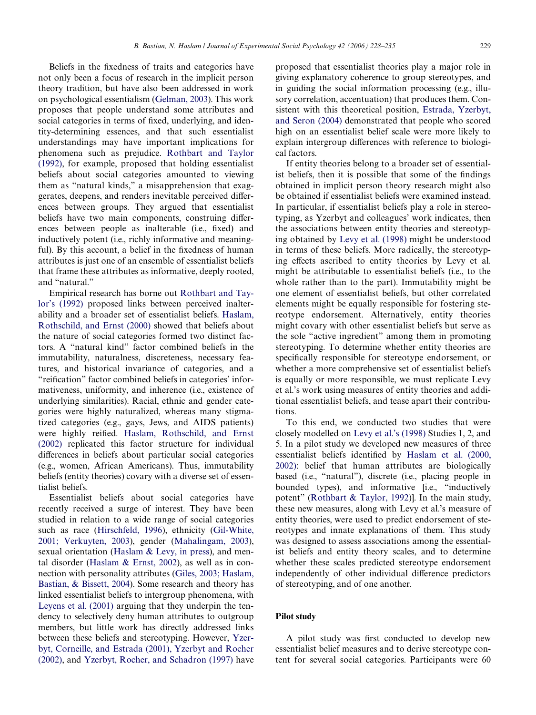Beliefs in the fixedness of traits and categories have not only been a focus of research in the implicit person theory tradition, but have also been addressed in work on psychological essentialism [\(Gelman, 2003\)](#page-7-6). This work proposes that people understand some attributes and social categories in terms of fixed, underlying, and identity-determining essences, and that such essentialist understandings may have important implications for phenomena such as prejudice. [Rothbart and Taylor](#page-7-7) [\(1992\)](#page-7-7), for example, proposed that holding essentialist beliefs about social categories amounted to viewing them as "natural kinds," a misapprehension that exaggerates, deepens, and renders inevitable perceived differences between groups. They argued that essentialist beliefs have two main components, construing differences between people as inalterable (i.e., fixed) and inductively potent (i.e., richly informative and meaningful). By this account, a belief in the fixedness of human attributes is just one of an ensemble of essentialist beliefs that frame these attributes as informative, deeply rooted, and "natural."

Empirical research has borne out [Rothbart and Tay](#page-7-7)[lor's \(1992\)](#page-7-7) proposed links between perceived inalterability and a broader set of essentialist beliefs. [Haslam,](#page-7-8) [Rothschild, and Ernst \(2000\)](#page-7-8) showed that beliefs about the nature of social categories formed two distinct factors. A "natural kind" factor combined beliefs in the immutability, naturalness, discreteness, necessary features, and historical invariance of categories, and a "reification" factor combined beliefs in categories' informativeness, uniformity, and inherence (i.e., existence of underlying similarities). Racial, ethnic and gender categories were highly naturalized, whereas many stigmatized categories (e.g., gays, Jews, and AIDS patients) were highly reified. [Haslam, Rothschild, and Ernst](#page-7-9) [\(2002\)](#page-7-9) replicated this factor structure for individual differences in beliefs about particular social categories (e.g., women, African Americans). Thus, immutability beliefs (entity theories) covary with a diverse set of essentialist beliefs.

Essentialist beliefs about social categories have recently received a surge of interest. They have been studied in relation to a wide range of social categories such as race ([Hirschfeld, 1996](#page-7-10)), ethnicity ([Gil-White,](#page-7-11) [2001; Verkuyten, 2003](#page-7-11)), gender ([Mahalingam, 2003](#page-7-12)), sexual orientation [\(Haslam & Levy, in press\)](#page-7-13), and mental disorder [\(Haslam & Ernst, 2002](#page-7-14)), as well as in connection with personality attributes ([Giles, 2003; Haslam,](#page-7-15) [Bastian, & Bissett, 2004](#page-7-15)). Some research and theory has linked essentialist beliefs to intergroup phenomena, with [Leyens et al. \(2001\)](#page-7-16) arguing that they underpin the tendency to selectively deny human attributes to outgroup members, but little work has directly addressed links between these beliefs and stereotyping. However, [Yzer](#page-7-17)[byt, Corneille, and Estrada \(2001\), Yzerbyt and Rocher](#page-7-17) [\(2002\)](#page-7-17), and [Yzerbyt, Rocher, and Schadron \(1997\)](#page-7-18) have

proposed that essentialist theories play a major role in giving explanatory coherence to group stereotypes, and in guiding the social information processing (e.g., illusory correlation, accentuation) that produces them. Consistent with this theoretical position, [Estrada, Yzerbyt,](#page-7-19) [and Seron \(2004\)](#page-7-19) demonstrated that people who scored high on an essentialist belief scale were more likely to explain intergroup differences with reference to biological factors.

If entity theories belong to a broader set of essentialist beliefs, then it is possible that some of the findings obtained in implicit person theory research might also be obtained if essentialist beliefs were examined instead. In particular, if essentialist beliefs play a role in stereotyping, as Yzerbyt and colleagues' work indicates, then the associations between entity theories and stereotyping obtained by [Levy et al. \(1998\)](#page-7-4) might be understood in terms of these beliefs. More radically, the stereotyping effects ascribed to entity theories by Levy et al. might be attributable to essentialist beliefs (i.e., to the whole rather than to the part). Immutability might be one element of essentialist beliefs, but other correlated elements might be equally responsible for fostering stereotype endorsement. Alternatively, entity theories might covary with other essentialist beliefs but serve as the sole "active ingredient" among them in promoting stereotyping. To determine whether entity theories are specifically responsible for stereotype endorsement, or whether a more comprehensive set of essentialist beliefs is equally or more responsible, we must replicate Levy et al.'s work using measures of entity theories and additional essentialist beliefs, and tease apart their contributions.

To this end, we conducted two studies that were closely modelled on [Levy et al.'s \(1998\)](#page-7-4) Studies 1, 2, and 5. In a pilot study we developed new measures of three essentialist beliefs identified by [Haslam et al. \(2000,](#page-7-8) [2002\)](#page-7-8): belief that human attributes are biologically based (i.e., "natural"), discrete (i.e., placing people in bounded types), and informative [i.e., "inductively potent" [\(Rothbart & Taylor, 1992](#page-7-7))]. In the main study, these new measures, along with Levy et al.'s measure of entity theories, were used to predict endorsement of stereotypes and innate explanations of them. This study was designed to assess associations among the essentialist beliefs and entity theory scales, and to determine whether these scales predicted stereotype endorsement independently of other individual difference predictors of stereotyping, and of one another.

# **Pilot study**

A pilot study was first conducted to develop new essentialist belief measures and to derive stereotype content for several social categories. Participants were 60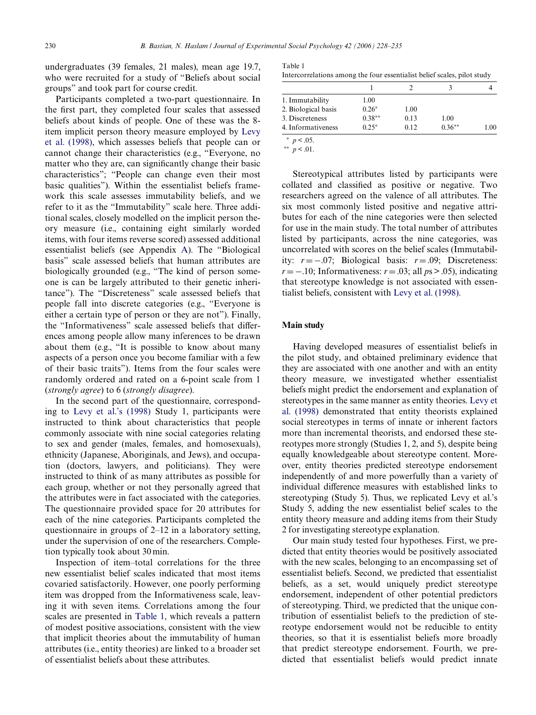undergraduates (39 females, 21 males), mean age 19.7, who were recruited for a study of "Beliefs about social groups" and took part for course credit.

Participants completed a two-part questionnaire. In the first part, they completed four scales that assessed beliefs about kinds of people. One of these was the 8 item implicit person theory measure employed by [Levy](#page-7-4) [et al. \(1998\),](#page-7-4) which assesses beliefs that people can or cannot change their characteristics (e.g., "Everyone, no matter who they are, can significantly change their basic characteristics"; "People can change even their most basic qualities"). Within the essentialist beliefs framework this scale assesses immutability beliefs, and we refer to it as the "Immutability" scale here. Three additional scales, closely modelled on the implicit person theory measure (i.e., containing eight similarly worded items, with four items reverse scored) assessed additional essentialist beliefs (see Appendix [A\)](#page-6-0). The "Biological basis" scale assessed beliefs that human attributes are biologically grounded (e.g., "The kind of person someone is can be largely attributed to their genetic inheritance"). The "Discreteness" scale assessed beliefs that people fall into discrete categories (e.g., "Everyone is either a certain type of person or they are not"). Finally, the "Informativeness" scale assessed beliefs that differences among people allow many inferences to be drawn about them (e.g., "It is possible to know about many aspects of a person once you become familiar with a few of their basic traits"). Items from the four scales were randomly ordered and rated on a 6-point scale from 1 (*strongly agree*) to 6 (*strongly disagree*).

In the second part of the questionnaire, corresponding to [Levy et al.'s \(1998\)](#page-7-4) Study 1, participants were instructed to think about characteristics that people commonly associate with nine social categories relating to sex and gender (males, females, and homosexuals), ethnicity (Japanese, Aboriginals, and Jews), and occupation (doctors, lawyers, and politicians). They were instructed to think of as many attributes as possible for each group, whether or not they personally agreed that the attributes were in fact associated with the categories. The questionnaire provided space for 20 attributes for each of the nine categories. Participants completed the questionnaire in groups of 2–12 in a laboratory setting, under the supervision of one of the researchers. Completion typically took about 30 min.

Inspection of item–total correlations for the three new essentialist belief scales indicated that most items covaried satisfactorily. However, one poorly performing item was dropped from the Informativeness scale, leaving it with seven items. Correlations among the four scales are presented in [Table 1,](#page-2-0) which reveals a pattern of modest positive associations, consistent with the view that implicit theories about the immutability of human attributes (i.e., entity theories) are linked to a broader set of essentialist beliefs about these attributes.

<span id="page-2-0"></span>

| Table 1                                                                  |  |  |
|--------------------------------------------------------------------------|--|--|
| Intercorrelations among the four essentialist belief scales, pilot study |  |  |

| 1. Immutability     | 1.00     |      |          |      |
|---------------------|----------|------|----------|------|
| 2. Biological basis | $0.26*$  | 1.00 |          |      |
| 3. Discreteness     | $0.38**$ | 0.13 | 1.00     |      |
| 4. Informativeness  | $0.25*$  | 0.12 | $0.36**$ | 1.00 |

 $*$   $p < .05$ .

\*\*  $p < 0.01$ .

Stereotypical attributes listed by participants were collated and classified as positive or negative. Two researchers agreed on the valence of all attributes. The six most commonly listed positive and negative attributes for each of the nine categories were then selected for use in the main study. The total number of attributes listed by participants, across the nine categories, was uncorrelated with scores on the belief scales (Immutability:  $r = -0.07$ ; Biological basis:  $r = 0.09$ ; Discreteness:  $r = -.10$ ; Informativeness:  $r = .03$ ; all  $ps > .05$ ), indicating that stereotype knowledge is not associated with essentialist beliefs, consistent with [Levy et al. \(1998\).](#page-7-4)

#### **Main study**

Having developed measures of essentialist beliefs in the pilot study, and obtained preliminary evidence that they are associated with one another and with an entity theory measure, we investigated whether essentialist beliefs might predict the endorsement and explanation of stereotypes in the same manner as entity theories. [Levy et](#page-7-4) [al. \(1998\)](#page-7-4) demonstrated that entity theorists explained social stereotypes in terms of innate or inherent factors more than incremental theorists, and endorsed these stereotypes more strongly (Studies 1, 2, and 5), despite being equally knowledgeable about stereotype content. Moreover, entity theories predicted stereotype endorsement independently of and more powerfully than a variety of individual difference measures with established links to stereotyping (Study 5). Thus, we replicated Levy et al.'s Study 5, adding the new essentialist belief scales to the entity theory measure and adding items from their Study 2 for investigating stereotype explanation.

Our main study tested four hypotheses. First, we predicted that entity theories would be positively associated with the new scales, belonging to an encompassing set of essentialist beliefs. Second, we predicted that essentialist beliefs, as a set, would uniquely predict stereotype endorsement, independent of other potential predictors of stereotyping. Third, we predicted that the unique contribution of essentialist beliefs to the prediction of stereotype endorsement would not be reducible to entity theories, so that it is essentialist beliefs more broadly that predict stereotype endorsement. Fourth, we predicted that essentialist beliefs would predict innate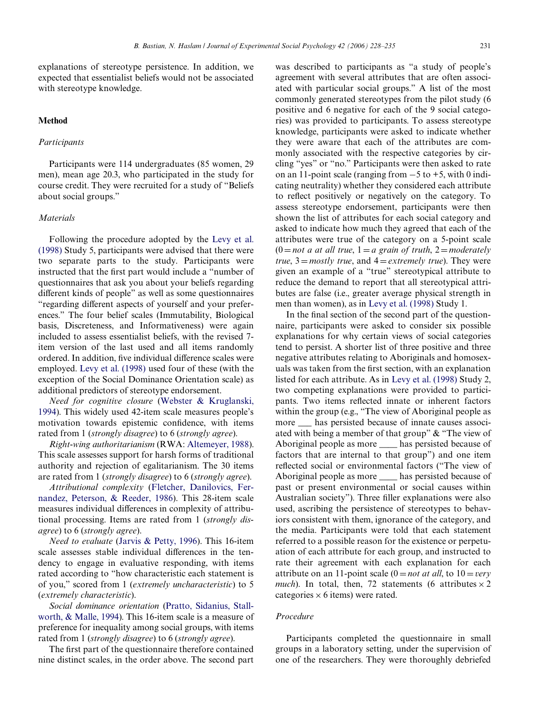explanations of stereotype persistence. In addition, we expected that essentialist beliefs would not be associated with stereotype knowledge.

## **Method**

## *Participants*

Participants were 114 undergraduates (85 women, 29 men), mean age 20.3, who participated in the study for course credit. They were recruited for a study of "Beliefs about social groups."

#### *Materials*

Following the procedure adopted by the [Levy et al.](#page-7-4) [\(1998\)](#page-7-4) Study 5, participants were advised that there were two separate parts to the study. Participants were instructed that the first part would include a "number of questionnaires that ask you about your beliefs regarding different kinds of people" as well as some questionnaires "regarding different aspects of yourself and your preferences." The four belief scales (Immutability, Biological basis, Discreteness, and Informativeness) were again included to assess essentialist beliefs, with the revised 7 item version of the last used and all items randomly ordered. In addition, five individual difference scales were employed. [Levy et al. \(1998\)](#page-7-4) used four of these (with the exception of the Social Dominance Orientation scale) as additional predictors of stereotype endorsement.

*Need for cognitive closure* [\(Webster & Kruglanski,](#page-7-20) [1994\)](#page-7-20). This widely used 42-item scale measures people's motivation towards epistemic confidence, with items rated from 1 (*strongly disagree*) to 6 (*strongly agree*).

*Right-wing authoritarianism* (RWA: [Altemeyer, 1988\)](#page-7-21). This scale assesses support for harsh forms of traditional authority and rejection of egalitarianism. The 30 items are rated from 1 (*strongly disagree*) to 6 (*strongly agree*).

*Attributional complexity* [\(Fletcher, Danilovics, Fer](#page-7-22)[nandez, Peterson, & Reeder, 1986](#page-7-22)). This 28-item scale measures individual differences in complexity of attributional processing. Items are rated from 1 (*strongly disagree*) to 6 (*strongly agree*).

*Need to evaluate* ([Jarvis & Petty, 1996\)](#page-7-23). This 16-item scale assesses stable individual differences in the tendency to engage in evaluative responding, with items rated according to "how characteristic each statement is of you," scored from 1 (*extremely uncharacteristic*) to 5 (*extremely characteristic*).

*Social dominance orientation* [\(Pratto, Sidanius, Stall](#page-7-24)[worth, & Malle, 1994](#page-7-24)). This 16-item scale is a measure of preference for inequality among social groups, with items rated from 1 (*strongly disagree*) to 6 (*strongly agree*).

The first part of the questionnaire therefore contained nine distinct scales, in the order above. The second part was described to participants as "a study of people's agreement with several attributes that are often associated with particular social groups." A list of the most commonly generated stereotypes from the pilot study (6 positive and 6 negative for each of the 9 social categories) was provided to participants. To assess stereotype knowledge, participants were asked to indicate whether they were aware that each of the attributes are commonly associated with the respective categories by circling "yes" or "no." Participants were then asked to rate on an 11-point scale (ranging from  $-5$  to  $+5$ , with 0 indicating neutrality) whether they considered each attribute to reflect positively or negatively on the category. To assess stereotype endorsement, participants were then shown the list of attributes for each social category and asked to indicate how much they agreed that each of the attributes were true of the category on a 5-point scale  $(0 = not a at all true, 1 = a grain of truth, 2 = moderately$ *true*,  $3 = \text{mostly true}$ , and  $4 = \text{extremely true}$ . They were given an example of a "true" stereotypical attribute to reduce the demand to report that all stereotypical attributes are false (i.e., greater average physical strength in men than women), as in [Levy et al. \(1998\)](#page-7-4) Study 1.

In the final section of the second part of the questionnaire, participants were asked to consider six possible explanations for why certain views of social categories tend to persist. A shorter list of three positive and three negative attributes relating to Aboriginals and homosexuals was taken from the first section, with an explanation listed for each attribute. As in [Levy et al. \(1998\)](#page-7-4) Study 2, two competing explanations were provided to participants. Two items reflected innate or inherent factors within the group (e.g., "The view of Aboriginal people as more  $\_\_$  has persisted because of innate causes associated with being a member of that group" & "The view of Aboriginal people as more <u>shall</u> has persisted because of factors that are internal to that group") and one item reflected social or environmental factors ("The view of Aboriginal people as more <u>shall</u> has persisted because of past or present environmental or social causes within Australian society"). Three filler explanations were also used, ascribing the persistence of stereotypes to behaviors consistent with them, ignorance of the category, and the media. Participants were told that each statement referred to a possible reason for the existence or perpetuation of each attribute for each group, and instructed to rate their agreement with each explanation for each attribute on an 11-point scale  $(0 = not at all, to 10 = very$ *much*). In total, then, 72 statements (6 attributes  $\times$  2 categories  $\times$  6 items) were rated.

## *Procedure*

Participants completed the questionnaire in small groups in a laboratory setting, under the supervision of one of the researchers. They were thoroughly debriefed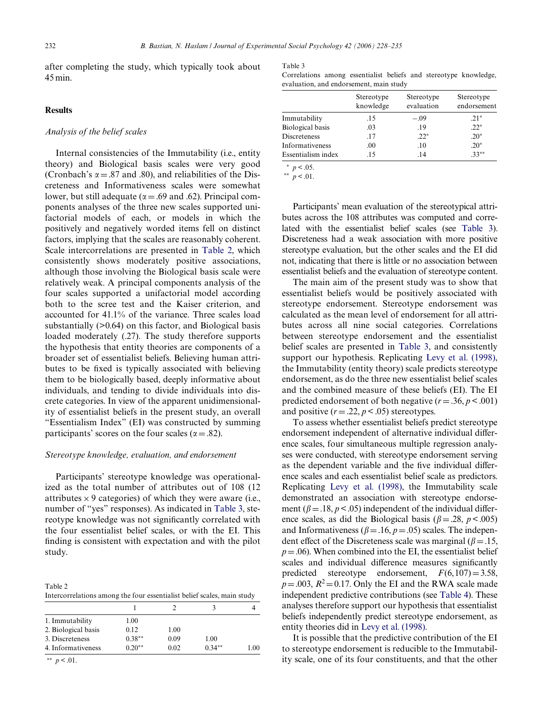after completing the study, which typically took about 45 min.

## **Results**

# *Analysis of the belief scales*

Internal consistencies of the Immutability (i.e., entity theory) and Biological basis scales were very good (Cronbach's  $\alpha$  = .87 and .80), and reliabilities of the Discreteness and Informativeness scales were somewhat lower, but still adequate ( $\alpha$  = .69 and .62). Principal components analyses of the three new scales supported unifactorial models of each, or models in which the positively and negatively worded items fell on distinct factors, implying that the scales are reasonably coherent. Scale intercorrelations are presented in [Table 2,](#page-4-0) which consistently shows moderately positive associations, although those involving the Biological basis scale were relatively weak. A principal components analysis of the four scales supported a unifactorial model according both to the scree test and the Kaiser criterion, and accounted for 41.1% of the variance. Three scales load substantially (>0.64) on this factor, and Biological basis loaded moderately (.27). The study therefore supports the hypothesis that entity theories are components of a broader set of essentialist beliefs. Believing human attributes to be fixed is typically associated with believing them to be biologically based, deeply informative about individuals, and tending to divide individuals into discrete categories. In view of the apparent unidimensionality of essentialist beliefs in the present study, an overall "Essentialism Index" (EI) was constructed by summing participants' scores on the four scales ( $\alpha = .82$ ).

## *Stereotype knowledge, evaluation, and endorsement*

Participants' stereotype knowledge was operationalized as the total number of attributes out of 108 (12 attributes  $\times$  9 categories) of which they were aware (i.e., number of "yes" responses). As indicated in [Table 3,](#page-4-1) stereotype knowledge was not significantly correlated with the four essentialist belief scales, or with the EI. This finding is consistent with expectation and with the pilot study.

<span id="page-4-0"></span>Table 2 Intercorrelations among the four essentialist belief scales, main study

| 1. Immutability     | 1.00      |      |          |      |
|---------------------|-----------|------|----------|------|
| 2. Biological basis | 0.12      | 1.00 |          |      |
| 3. Discreteness     | $0.38***$ | 0.09 | 1.00     |      |
| 4. Informativeness  | $0.20**$  | 0.02 | $0.34**$ | 1.00 |
|                     |           |      |          |      |

\*\*  $p < .01$ .

<span id="page-4-1"></span>Table 3 Correlations among essentialist beliefs and stereotype knowledge, evaluation, and endorsement, main study

|                    | Stereotype<br>knowledge | Stereotype<br>evaluation | Stereotype<br>endorsement |
|--------------------|-------------------------|--------------------------|---------------------------|
| Immutability       | .15                     | $-.09$                   | $.21*$                    |
| Biological basis   | .03                     | .19                      | $.22*$                    |
| Discreteness       | .17                     | $.22*$                   | $.20*$                    |
| Informativeness    | .00                     | .10                      | $.20*$                    |
| Essentialism index | -15                     | .14                      | $33**$                    |

 $*$   $p < .05$ .

\*\*  $p < 0.01$ .

Participants' mean evaluation of the stereotypical attributes across the 108 attributes was computed and correlated with the essentialist belief scales (see [Table 3\)](#page-4-1). Discreteness had a weak association with more positive stereotype evaluation, but the other scales and the EI did not, indicating that there is little or no association between essentialist beliefs and the evaluation of stereotype content.

The main aim of the present study was to show that essentialist beliefs would be positively associated with stereotype endorsement. Stereotype endorsement was calculated as the mean level of endorsement for all attributes across all nine social categories. Correlations between stereotype endorsement and the essentialist belief scales are presented in [Table 3](#page-4-1), and consistently support our hypothesis. Replicating [Levy et al. \(1998\)](#page-7-4), the Immutability (entity theory) scale predicts stereotype endorsement, as do the three new essentialist belief scales and the combined measure of these beliefs (EI). The EI predicted endorsement of both negative  $(r = .36, p < .001)$ and positive  $(r = .22, p < .05)$  stereotypes.

To assess whether essentialist beliefs predict stereotype endorsement independent of alternative individual difference scales, four simultaneous multiple regression analyses were conducted, with stereotype endorsement serving as the dependent variable and the five individual difference scales and each essentialist belief scale as predictors. Replicating [Levy et al. \(1998\),](#page-7-4) the Immutability scale demonstrated an association with stereotype endorsement ( $\beta = 0.18$ ,  $p < 0.05$ ) independent of the individual difference scales, as did the Biological basis ( $\beta = .28$ ,  $p < .005$ ) and Informativeness ( $\beta = .16$ ,  $p = .05$ ) scales. The independent effect of the Discreteness scale was marginal ( $\beta = .15$ ,  $p = 0.06$ ). When combined into the EI, the essentialist belief scales and individual difference measures significantly predicted stereotype endorsement,  $F(6,107)=3.58$ ,  $p = 0.03$ ,  $R^2 = 0.17$ . Only the EI and the RWA scale made independent predictive contributions (see [Table 4](#page-5-0)). These analyses therefore support our hypothesis that essentialist beliefs independently predict stereotype endorsement, as entity theories did in [Levy et al. \(1998\).](#page-7-4)

It is possible that the predictive contribution of the EI to stereotype endorsement is reducible to the Immutability scale, one of its four constituents, and that the other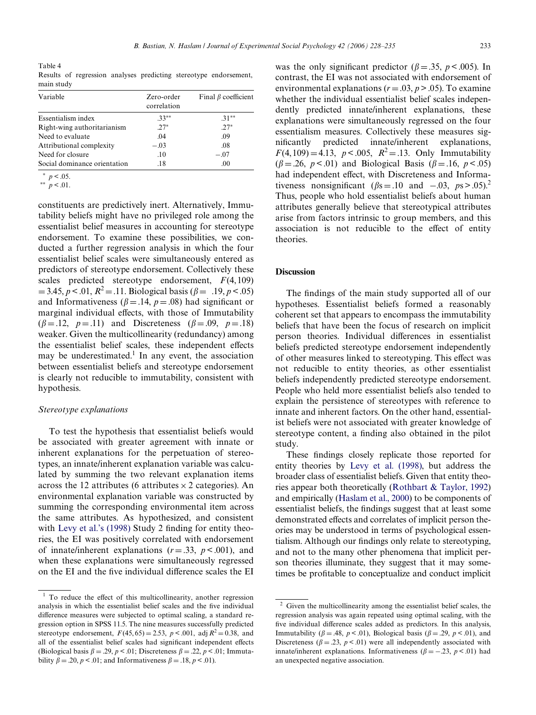<span id="page-5-0"></span>Table 4 Results of regression analyses predicting stereotype endorsement, main study

| Variable                     | Zero-order<br>correlation | Final $\beta$ coefficient |
|------------------------------|---------------------------|---------------------------|
| Essentialism index           | $.33**$                   | $31**$                    |
| Right-wing authoritarianism  | $2.7*$                    | $.27*$                    |
| Need to evaluate             | .04                       | .09                       |
| Attributional complexity     | $-.03$                    | .08                       |
| Need for closure             | .10                       | $-.07$                    |
| Social dominance orientation | .18                       | .00                       |

 $*$   $p < .05$ .

\*\*  $p < 01$ .

constituents are predictively inert. Alternatively, Immutability beliefs might have no privileged role among the essentialist belief measures in accounting for stereotype endorsement. To examine these possibilities, we conducted a further regression analysis in which the four essentialist belief scales were simultaneously entered as predictors of stereotype endorsement. Collectively these scales predicted stereotype endorsement, *F*(4,109)  $= 3.45, p < .01, R^2 = .11$ . Biological basis ( $\beta = .19, p < .05$ ) and Informativeness ( $\beta = .14$ ,  $p = .08$ ) had significant or marginal individual effects, with those of Immutability  $(\beta = .12, p = .11)$  and Discreteness  $(\beta = .09, p = .18)$ weaker. Given the multicollinearity (redundancy) among the essentialist belief scales, these independent effects may be underestimated.<sup>1</sup> In any event, the association between essentialist beliefs and stereotype endorsement is clearly not reducible to immutability, consistent with hypothesis.

## *Stereotype explanations*

To test the hypothesis that essentialist beliefs would be associated with greater agreement with innate or inherent explanations for the perpetuation of stereotypes, an innate/inherent explanation variable was calculated by summing the two relevant explanation items across the 12 attributes (6 attributes  $\times$  2 categories). An environmental explanation variable was constructed by summing the corresponding environmental item across the same attributes. As hypothesized, and consistent with Levy et al.'s  $(1998)$  Study 2 finding for entity theories, the EI was positively correlated with endorsement of innate/inherent explanations  $(r = .33, p < .001)$ , and when these explanations were simultaneously regressed on the EI and the five individual difference scales the EI

was the only significant predictor ( $\beta = .35$ ,  $p < .005$ ). In contrast, the EI was not associated with endorsement of environmental explanations  $(r = .03, p > .05)$ . To examine whether the individual essentialist belief scales independently predicted innate/inherent explanations, these explanations were simultaneously regressed on the four essentialism measures. Collectively these measures significantly predicted innate/inherent explanations,  $F(4, 109) = 4.13$ ,  $p < .005$ ,  $R^2 = .13$ . Only Immutability  $(\beta = .26, p < .01)$  and Biological Basis  $(\beta = .16, p < .05)$ had independent effect, with Discreteness and Informativeness nonsignificant  $(\beta s = .10 \text{ and } -.03, \text{ } ps > .05).$ <sup>2</sup> Thus, people who hold essentialist beliefs about human attributes generally believe that stereotypical attributes arise from factors intrinsic to group members, and this association is not reducible to the effect of entity theories.

## **Discussion**

The findings of the main study supported all of our hypotheses. Essentialist beliefs formed a reasonably coherent set that appears to encompass the immutability beliefs that have been the focus of research on implicit person theories. Individual differences in essentialist beliefs predicted stereotype endorsement independently of other measures linked to stereotyping. This effect was not reducible to entity theories, as other essentialist beliefs independently predicted stereotype endorsement. People who held more essentialist beliefs also tended to explain the persistence of stereotypes with reference to innate and inherent factors. On the other hand, essentialist beliefs were not associated with greater knowledge of stereotype content, a finding also obtained in the pilot study.

These findings closely replicate those reported for entity theories by [Levy et al. \(1998\),](#page-7-4) but address the broader class of essentialist beliefs. Given that entity theories appear both theoretically ([Rothbart & Taylor, 1992](#page-7-7)) and empirically [\(Haslam et al., 2000\)](#page-7-8) to be components of essentialist beliefs, the findings suggest that at least some demonstrated effects and correlates of implicit person theories may be understood in terms of psychological essentialism. Although our findings only relate to stereotyping, and not to the many other phenomena that implicit person theories illuminate, they suggest that it may sometimes be profitable to conceptualize and conduct implicit

 $1$  To reduce the effect of this multicollinearity, another regression analysis in which the essentialist belief scales and the five individual difference measures were subjected to optimal scaling, a standard regression option in SPSS 11.5. The nine measures successfully predicted stereotype endorsement,  $F(45, 65) = 2.53$ ,  $p < .001$ , adj  $R^2 = 0.38$ , and all of the essentialist belief scales had significant independent effects (Biological basis  $\beta = .29$ ,  $p < .01$ ; Discreteness  $\beta = .22$ ,  $p < .01$ ; Immutability  $\beta = .20, p < .01$ ; and Informativeness  $\beta = .18, p < .01$ ).

 $2\,$  Given the multicollinearity among the essentialist belief scales, the regression analysis was again repeated using optimal scaling, with the five individual difference scales added as predictors. In this analysis, Immutability ( $\beta = .48$ ,  $p < .01$ ), Biological basis ( $\beta = .29$ ,  $p < .01$ ), and Discreteness ( $\beta = .23$ ,  $p < .01$ ) were all independently associated with innate/inherent explanations. Informativeness  $(\beta = -.23, p < .01)$  had an unexpected negative association.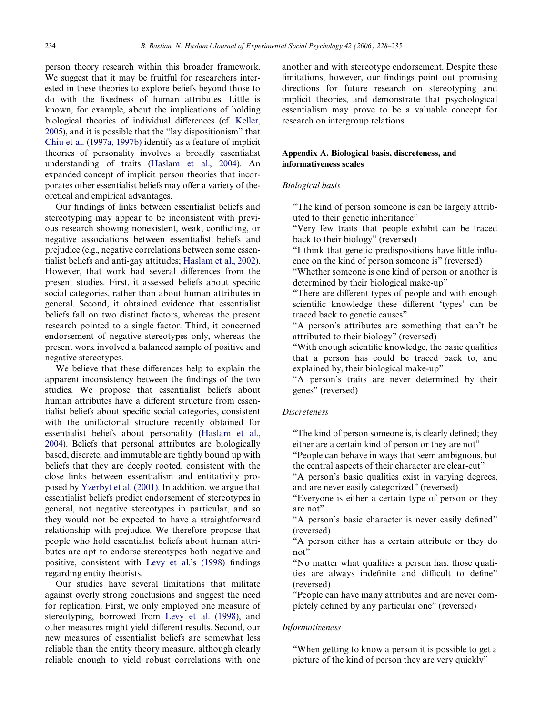person theory research within this broader framework. We suggest that it may be fruitful for researchers interested in these theories to explore beliefs beyond those to do with the fixedness of human attributes. Little is known, for example, about the implications of holding biological theories of individual differences (cf. [Keller,](#page-7-25) [2005\)](#page-7-25), and it is possible that the "lay dispositionism" that [Chiu et al. \(1997a, 1997b\)](#page-7-2) identify as a feature of implicit theories of personality involves a broadly essentialist understanding of traits ([Haslam et al., 2004](#page-7-26)). An expanded concept of implicit person theories that incorporates other essentialist beliefs may offer a variety of theoretical and empirical advantages.

Our findings of links between essentialist beliefs and stereotyping may appear to be inconsistent with previous research showing nonexistent, weak, conflicting, or negative associations between essentialist beliefs and prejudice (e.g., negative correlations between some essentialist beliefs and anti-gay attitudes; [Haslam et al., 2002\)](#page-7-9). However, that work had several differences from the present studies. First, it assessed beliefs about specific social categories, rather than about human attributes in general. Second, it obtained evidence that essentialist beliefs fall on two distinct factors, whereas the present research pointed to a single factor. Third, it concerned endorsement of negative stereotypes only, whereas the present work involved a balanced sample of positive and negative stereotypes.

We believe that these differences help to explain the apparent inconsistency between the findings of the two studies. We propose that essentialist beliefs about human attributes have a different structure from essentialist beliefs about specific social categories, consistent with the unifactorial structure recently obtained for essentialist beliefs about personality ([Haslam et al.,](#page-7-26) [2004\)](#page-7-26). Beliefs that personal attributes are biologically based, discrete, and immutable are tightly bound up with beliefs that they are deeply rooted, consistent with the close links between essentialism and entitativity proposed by [Yzerbyt et al. \(2001\)](#page-7-17). In addition, we argue that essentialist beliefs predict endorsement of stereotypes in general, not negative stereotypes in particular, and so they would not be expected to have a straightforward relationship with prejudice. We therefore propose that people who hold essentialist beliefs about human attributes are apt to endorse stereotypes both negative and positive, consistent with [Levy et al.'s \(1998\)](#page-7-4) findings regarding entity theorists.

Our studies have several limitations that militate against overly strong conclusions and suggest the need for replication. First, we only employed one measure of stereotyping, borrowed from [Levy et al. \(1998\)](#page-7-4), and other measures might yield different results. Second, our new measures of essentialist beliefs are somewhat less reliable than the entity theory measure, although clearly reliable enough to yield robust correlations with one

another and with stereotype endorsement. Despite these limitations, however, our findings point out promising directions for future research on stereotyping and implicit theories, and demonstrate that psychological essentialism may prove to be a valuable concept for research on intergroup relations.

# <span id="page-6-0"></span>**Appendix A. Biological basis, discreteness, and informativeness scales**

#### *Biological basis*

"The kind of person someone is can be largely attributed to their genetic inheritance"

"Very few traits that people exhibit can be traced back to their biology" (reversed)

"I think that genetic predispositions have little influence on the kind of person someone is" (reversed)

"Whether someone is one kind of person or another is determined by their biological make-up"

"There are different types of people and with enough scientific knowledge these different 'types' can be traced back to genetic causes"

"A person's attributes are something that can't be attributed to their biology" (reversed)

"With enough scientific knowledge, the basic qualities that a person has could be traced back to, and explained by, their biological make-up"

"A person's traits are never determined by their genes" (reversed)

## *Discreteness*

"The kind of person someone is, is clearly defined; they either are a certain kind of person or they are not"

"People can behave in ways that seem ambiguous, but the central aspects of their character are clear-cut"

"A person's basic qualities exist in varying degrees, and are never easily categorized" (reversed)

"Everyone is either a certain type of person or they are not"

"A person's basic character is never easily defined" (reversed)

"A person either has a certain attribute or they do not"

"No matter what qualities a person has, those qualities are always indefinite and difficult to define" (reversed)

"People can have many attributes and are never completely defined by any particular one" (reversed)

## *Informativeness*

"When getting to know a person it is possible to get a picture of the kind of person they are very quickly"